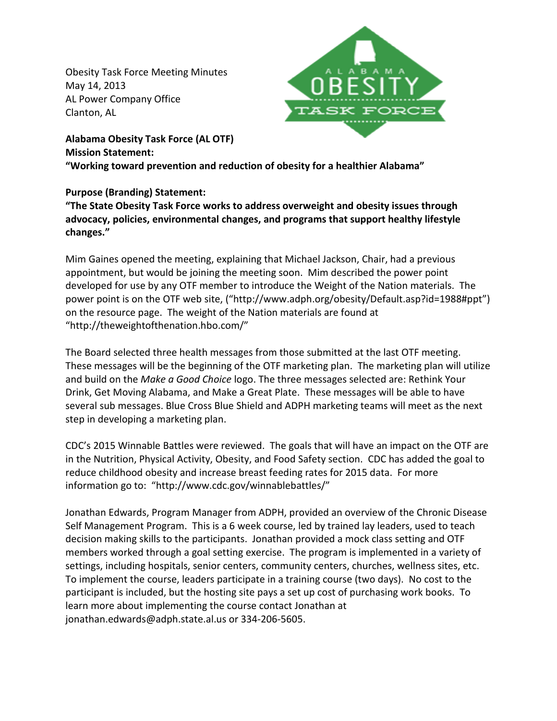Obesity Task Force Meeting Minutes May 14, 2013 AL Power Company Office Clanton, AL



**Alabama Obesity Task Force (AL OTF) Mission Statement: "Working toward prevention and reduction of obesity for a healthier Alabama"**

## **Purpose (Branding) Statement:**

**"The State Obesity Task Force works to address overweight and obesity issues through advocacy, policies, environmental changes, and programs that support healthy lifestyle changes."**

Mim Gaines opened the meeting, explaining that Michael Jackson, Chair, had a previous appointment, but would be joining the meeting soon. Mim described the power point developed for use by any OTF member to introduce the Weight of the Nation materials. The power point is on the OTF web site, ("http://www.adph.org/obesity/Default.asp?id=1988#ppt") on the resource page. The weight of the Nation materials are found at "http://theweightofthenation.hbo.com/"

The Board selected three health messages from those submitted at the last OTF meeting. These messages will be the beginning of the OTF marketing plan. The marketing plan will utilize and build on the *Make a Good Choice* logo. The three messages selected are: Rethink Your Drink, Get Moving Alabama, and Make a Great Plate. These messages will be able to have several sub messages. Blue Cross Blue Shield and ADPH marketing teams will meet as the next step in developing a marketing plan.

CDC's 2015 Winnable Battles were reviewed. The goals that will have an impact on the OTF are in the Nutrition, Physical Activity, Obesity, and Food Safety section. CDC has added the goal to reduce childhood obesity and increase breast feeding rates for 2015 data. For more information go to: "http://www.cdc.gov/winnablebattles/"

Jonathan Edwards, Program Manager from ADPH, provided an overview of the Chronic Disease Self Management Program. This is a 6 week course, led by trained lay leaders, used to teach decision making skills to the participants. Jonathan provided a mock class setting and OTF members worked through a goal setting exercise. The program is implemented in a variety of settings, including hospitals, senior centers, community centers, churches, wellness sites, etc. To implement the course, leaders participate in a training course (two days). No cost to the participant is included, but the hosting site pays a set up cost of purchasing work books. To learn more about implementing the course contact Jonathan at jonathan.edwards@adph.state.al.us or 334-206-5605.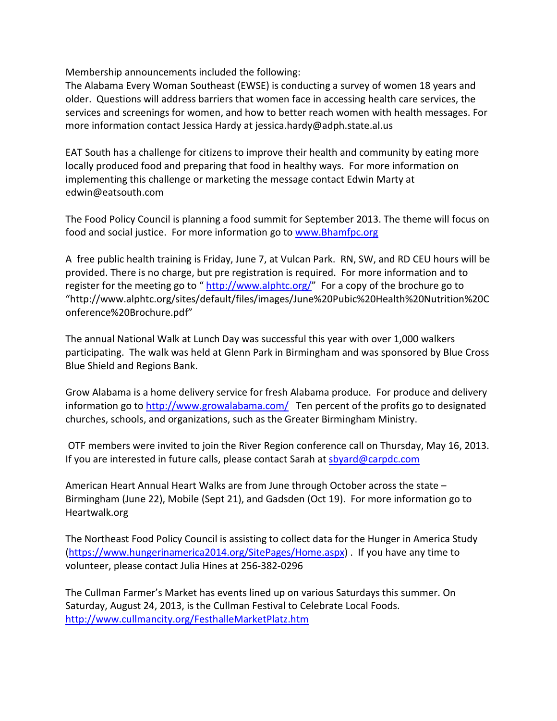Membership announcements included the following:

The Alabama Every Woman Southeast (EWSE) is conducting a survey of women 18 years and older. Questions will address barriers that women face in accessing health care services, the services and screenings for women, and how to better reach women with health messages. For more information contact Jessica Hardy at jessica.hardy@adph.state.al.us

EAT South has a challenge for citizens to improve their health and community by eating more locally produced food and preparing that food in healthy ways. For more information on implementing this challenge or marketing the message contact Edwin Marty at edwin@eatsouth.com

The Food Policy Council is planning a food summit for September 2013. The theme will focus on food and social justice. For more information go to [www.Bhamfpc.org](http://www.bhamfpc.org/)

A free public health training is Friday, June 7, at Vulcan Park. RN, SW, and RD CEU hours will be provided. There is no charge, but pre registration is required. For more information and to register for the meeting go to " [http://www.alphtc.org/"](http://www.alphtc.org/) For a copy of the brochure go to "http://www.alphtc.org/sites/default/files/images/June%20Pubic%20Health%20Nutrition%20C onference%20Brochure.pdf"

The annual National Walk at Lunch Day was successful this year with over 1,000 walkers participating. The walk was held at Glenn Park in Birmingham and was sponsored by Blue Cross Blue Shield and Regions Bank.

Grow Alabama is a home delivery service for fresh Alabama produce. For produce and delivery information go to<http://www.growalabama.com/> Ten percent of the profits go to designated churches, schools, and organizations, such as the Greater Birmingham Ministry.

OTF members were invited to join the River Region conference call on Thursday, May 16, 2013. If you are interested in future calls, please contact Sarah at [sbyard@carpdc.com](mailto:sbyard@carpdc.com)

American Heart Annual Heart Walks are from June through October across the state – Birmingham (June 22), Mobile (Sept 21), and Gadsden (Oct 19). For more information go to Heartwalk.org

The Northeast Food Policy Council is assisting to collect data for the Hunger in America Study [\(https://www.hungerinamerica2014.org/SitePages/Home.aspx\)](https://www.hungerinamerica2014.org/SitePages/Home.aspx) . If you have any time to volunteer, please contact Julia Hines at 256-382-0296

The Cullman Farmer's Market has events lined up on various Saturdays this summer. On Saturday, August 24, 2013, is the Cullman Festival to Celebrate Local Foods. <http://www.cullmancity.org/FesthalleMarketPlatz.htm>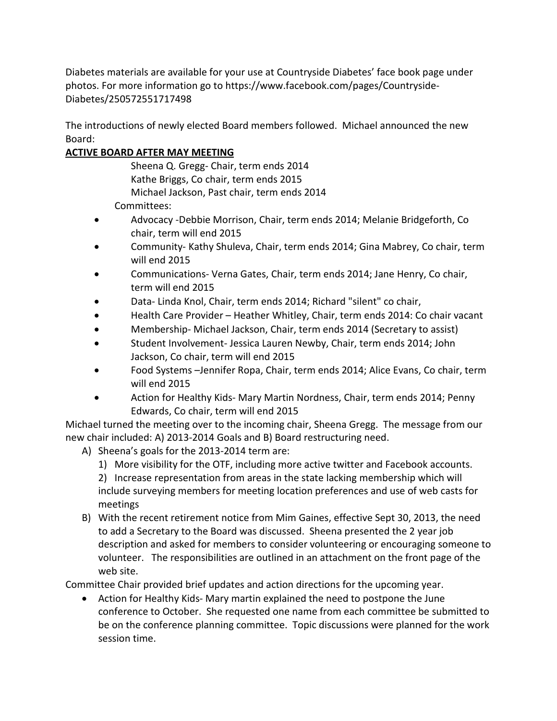Diabetes materials are available for your use at Countryside Diabetes' face book page under photos. For more information go to https://www.facebook.com/pages/Countryside-Diabetes/250572551717498

The introductions of newly elected Board members followed. Michael announced the new Board:

## **ACTIVE BOARD AFTER MAY MEETING**

Sheena Q. Gregg- Chair, term ends 2014 Kathe Briggs, Co chair, term ends 2015 Michael Jackson, Past chair, term ends 2014

Committees:

- Advocacy -Debbie Morrison, Chair, term ends 2014; Melanie Bridgeforth, Co chair, term will end 2015
- Community- Kathy Shuleva, Chair, term ends 2014; Gina Mabrey, Co chair, term will end 2015
- Communications- Verna Gates, Chair, term ends 2014; Jane Henry, Co chair, term will end 2015
- Data- Linda Knol, Chair, term ends 2014; Richard "silent" co chair,
- Health Care Provider Heather Whitley, Chair, term ends 2014: Co chair vacant
- Membership- Michael Jackson, Chair, term ends 2014 (Secretary to assist)
- Student Involvement- Jessica Lauren Newby, Chair, term ends 2014; John Jackson, Co chair, term will end 2015
- Food Systems –Jennifer Ropa, Chair, term ends 2014; Alice Evans, Co chair, term will end 2015
- Action for Healthy Kids- Mary Martin Nordness, Chair, term ends 2014; Penny Edwards, Co chair, term will end 2015

Michael turned the meeting over to the incoming chair, Sheena Gregg. The message from our new chair included: A) 2013-2014 Goals and B) Board restructuring need.

- A) Sheena's goals for the 2013-2014 term are:
	- 1) More visibility for the OTF, including more active twitter and Facebook accounts.

2) Increase representation from areas in the state lacking membership which will include surveying members for meeting location preferences and use of web casts for meetings

B) With the recent retirement notice from Mim Gaines, effective Sept 30, 2013, the need to add a Secretary to the Board was discussed. Sheena presented the 2 year job description and asked for members to consider volunteering or encouraging someone to volunteer. The responsibilities are outlined in an attachment on the front page of the web site.

Committee Chair provided brief updates and action directions for the upcoming year.

• Action for Healthy Kids- Mary martin explained the need to postpone the June conference to October. She requested one name from each committee be submitted to be on the conference planning committee. Topic discussions were planned for the work session time.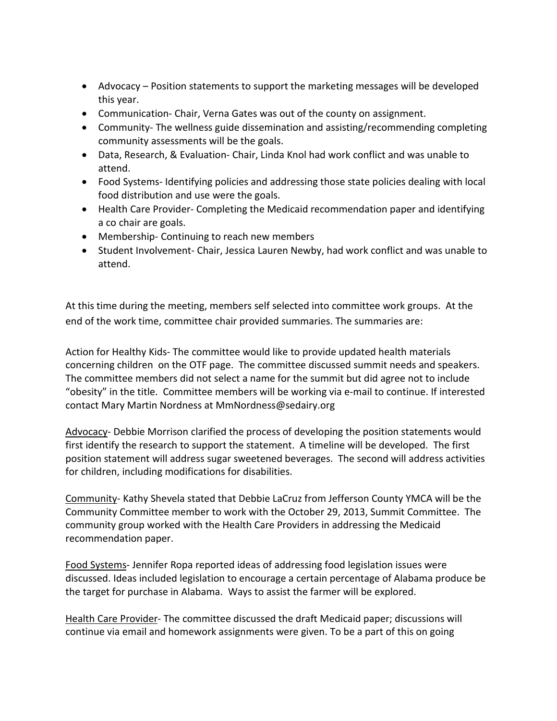- Advocacy Position statements to support the marketing messages will be developed this year.
- Communication- Chair, Verna Gates was out of the county on assignment.
- Community- The wellness guide dissemination and assisting/recommending completing community assessments will be the goals.
- Data, Research, & Evaluation- Chair, Linda Knol had work conflict and was unable to attend.
- Food Systems- Identifying policies and addressing those state policies dealing with local food distribution and use were the goals.
- Health Care Provider- Completing the Medicaid recommendation paper and identifying a co chair are goals.
- Membership- Continuing to reach new members
- Student Involvement- Chair, Jessica Lauren Newby, had work conflict and was unable to attend.

At this time during the meeting, members self selected into committee work groups. At the end of the work time, committee chair provided summaries. The summaries are:

Action for Healthy Kids- The committee would like to provide updated health materials concerning children on the OTF page. The committee discussed summit needs and speakers. The committee members did not select a name for the summit but did agree not to include "obesity" in the title. Committee members will be working via e-mail to continue. If interested contact Mary Martin Nordness at MmNordness@sedairy.org

Advocacy- Debbie Morrison clarified the process of developing the position statements would first identify the research to support the statement. A timeline will be developed. The first position statement will address sugar sweetened beverages. The second will address activities for children, including modifications for disabilities.

Community- Kathy Shevela stated that Debbie LaCruz from Jefferson County YMCA will be the Community Committee member to work with the October 29, 2013, Summit Committee. The community group worked with the Health Care Providers in addressing the Medicaid recommendation paper.

Food Systems- Jennifer Ropa reported ideas of addressing food legislation issues were discussed. Ideas included legislation to encourage a certain percentage of Alabama produce be the target for purchase in Alabama. Ways to assist the farmer will be explored.

Health Care Provider- The committee discussed the draft Medicaid paper; discussions will continue via email and homework assignments were given. To be a part of this on going